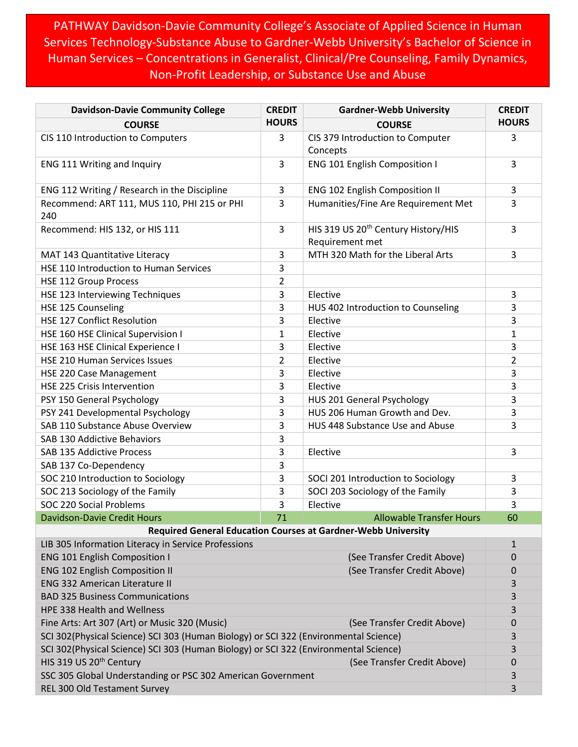PATHWAY Davidson-Davie Community College's Associate of Applied Science in Human Services Technology-Substance Abuse to Gardner-Webb University's Bachelor of Science in Human Services – Concentrations in Generalist, Clinical/Pre Counseling, Family Dynamics, Non-Profit Leadership, or Substance Use and Abuse

| <b>Davidson-Davie Community College</b>                                              | <b>CREDIT</b>  | <b>Gardner-Webb University</b>                                     | <b>CREDIT</b>  |  |
|--------------------------------------------------------------------------------------|----------------|--------------------------------------------------------------------|----------------|--|
| <b>COURSE</b>                                                                        | <b>HOURS</b>   | <b>COURSE</b>                                                      | <b>HOURS</b>   |  |
| CIS 110 Introduction to Computers                                                    | 3              | CIS 379 Introduction to Computer<br>Concepts                       | 3              |  |
| ENG 111 Writing and Inquiry                                                          | 3              | <b>ENG 101 English Composition I</b>                               | 3              |  |
| ENG 112 Writing / Research in the Discipline                                         | 3              | <b>ENG 102 English Composition II</b>                              | 3              |  |
| Recommend: ART 111, MUS 110, PHI 215 or PHI<br>240                                   | 3              | Humanities/Fine Are Requirement Met                                | 3              |  |
| Recommend: HIS 132, or HIS 111                                                       | 3              | HIS 319 US 20 <sup>th</sup> Century History/HIS<br>Requirement met | 3              |  |
| MAT 143 Quantitative Literacy                                                        | 3              | MTH 320 Math for the Liberal Arts                                  | 3              |  |
| HSE 110 Introduction to Human Services                                               | 3              |                                                                    |                |  |
| <b>HSE 112 Group Process</b>                                                         | 2              |                                                                    |                |  |
| HSE 123 Interviewing Techniques                                                      | 3              | Elective                                                           | 3              |  |
| HSE 125 Counseling                                                                   | 3              | HUS 402 Introduction to Counseling                                 | 3              |  |
| <b>HSE 127 Conflict Resolution</b>                                                   | 3              | Elective                                                           | 3              |  |
| HSE 160 HSE Clinical Supervision I                                                   | $\mathbf{1}$   | Elective                                                           | $\mathbf{1}$   |  |
| HSE 163 HSE Clinical Experience I                                                    | 3              | Elective                                                           | 3              |  |
| <b>HSE 210 Human Services Issues</b>                                                 | $\overline{2}$ | Elective                                                           | $\overline{2}$ |  |
| HSE 220 Case Management                                                              | 3              | Elective                                                           | 3              |  |
| HSE 225 Crisis Intervention                                                          | 3              | Elective                                                           | 3              |  |
| PSY 150 General Psychology                                                           | 3              | HUS 201 General Psychology                                         | 3              |  |
| PSY 241 Developmental Psychology                                                     | 3              | HUS 206 Human Growth and Dev.                                      | 3              |  |
| SAB 110 Substance Abuse Overview                                                     | 3              | HUS 448 Substance Use and Abuse                                    | 3              |  |
| SAB 130 Addictive Behaviors                                                          | 3              |                                                                    |                |  |
| SAB 135 Addictive Process                                                            | 3              | Elective                                                           | 3              |  |
| SAB 137 Co-Dependency                                                                | 3              |                                                                    |                |  |
| SOC 210 Introduction to Sociology                                                    | 3              | SOCI 201 Introduction to Sociology                                 | 3              |  |
| SOC 213 Sociology of the Family                                                      | 3              | SOCI 203 Sociology of the Family                                   | 3              |  |
| SOC 220 Social Problems                                                              | 3              | Elective                                                           | 3              |  |
| <b>Davidson-Davie Credit Hours</b>                                                   | 71             | <b>Allowable Transfer Hours</b>                                    | 60             |  |
| <b>Required General Education Courses at Gardner-Webb University</b>                 |                |                                                                    |                |  |
| LIB 305 Information Literacy in Service Professions                                  |                |                                                                    | $\mathbf{1}$   |  |
| <b>ENG 101 English Composition I</b>                                                 |                | (See Transfer Credit Above)                                        | 0              |  |
| <b>ENG 102 English Composition II</b>                                                |                | (See Transfer Credit Above)                                        | 0              |  |
| <b>ENG 332 American Literature II</b>                                                |                |                                                                    | 3              |  |
| <b>BAD 325 Business Communications</b>                                               |                |                                                                    | 3              |  |
| <b>HPE 338 Health and Wellness</b>                                                   |                |                                                                    | 3              |  |
| Fine Arts: Art 307 (Art) or Music 320 (Music)<br>(See Transfer Credit Above)         |                |                                                                    | 0              |  |
| SCI 302(Physical Science) SCI 303 (Human Biology) or SCI 322 (Environmental Science) |                |                                                                    |                |  |
| SCI 302(Physical Science) SCI 303 (Human Biology) or SCI 322 (Environmental Science) |                |                                                                    |                |  |
| HIS 319 US 20 <sup>th</sup> Century<br>(See Transfer Credit Above)                   |                |                                                                    | 0              |  |
| SSC 305 Global Understanding or PSC 302 American Government                          |                |                                                                    | 3              |  |
| REL 300 Old Testament Survey                                                         |                |                                                                    | 3              |  |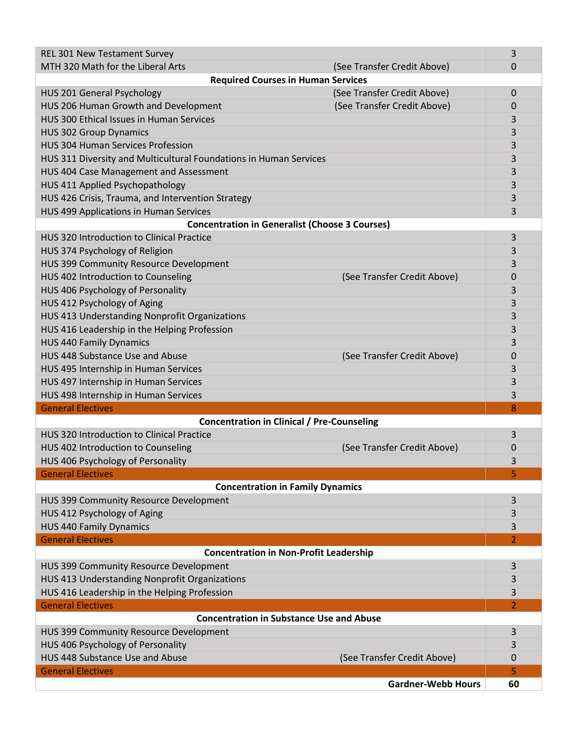| <b>REL 301 New Testament Survey</b>                               |                             | 3  |  |  |
|-------------------------------------------------------------------|-----------------------------|----|--|--|
| MTH 320 Math for the Liberal Arts                                 | (See Transfer Credit Above) | 0  |  |  |
| <b>Required Courses in Human Services</b>                         |                             |    |  |  |
| HUS 201 General Psychology                                        | (See Transfer Credit Above) | 0  |  |  |
| HUS 206 Human Growth and Development                              | (See Transfer Credit Above) | 0  |  |  |
| HUS 300 Ethical Issues in Human Services                          |                             | 3  |  |  |
| <b>HUS 302 Group Dynamics</b>                                     |                             | 3  |  |  |
| <b>HUS 304 Human Services Profession</b>                          |                             | 3  |  |  |
| HUS 311 Diversity and Multicultural Foundations in Human Services |                             | 3  |  |  |
| HUS 404 Case Management and Assessment                            |                             | 3  |  |  |
| HUS 411 Applied Psychopathology                                   |                             | 3  |  |  |
| HUS 426 Crisis, Trauma, and Intervention Strategy                 |                             | 3  |  |  |
| HUS 499 Applications in Human Services                            |                             | 3  |  |  |
| <b>Concentration in Generalist (Choose 3 Courses)</b>             |                             |    |  |  |
| HUS 320 Introduction to Clinical Practice                         |                             | 3  |  |  |
| HUS 374 Psychology of Religion                                    |                             | 3  |  |  |
| HUS 399 Community Resource Development                            |                             | 3  |  |  |
| HUS 402 Introduction to Counseling                                | (See Transfer Credit Above) | 0  |  |  |
| HUS 406 Psychology of Personality                                 |                             | 3  |  |  |
| HUS 412 Psychology of Aging                                       |                             | 3  |  |  |
| HUS 413 Understanding Nonprofit Organizations                     |                             | 3  |  |  |
| HUS 416 Leadership in the Helping Profession                      |                             | 3  |  |  |
| <b>HUS 440 Family Dynamics</b>                                    |                             | 3  |  |  |
| HUS 448 Substance Use and Abuse                                   | (See Transfer Credit Above) | 0  |  |  |
| HUS 495 Internship in Human Services                              |                             | 3  |  |  |
| HUS 497 Internship in Human Services                              |                             | 3  |  |  |
| HUS 498 Internship in Human Services                              |                             | 3  |  |  |
| <b>General Electives</b>                                          |                             | 8  |  |  |
| <b>Concentration in Clinical / Pre-Counseling</b>                 |                             |    |  |  |
| HUS 320 Introduction to Clinical Practice                         |                             | 3  |  |  |
| HUS 402 Introduction to Counseling                                | (See Transfer Credit Above) | 0  |  |  |
| HUS 406 Psychology of Personality                                 |                             | 3  |  |  |
| <b>General Electives</b>                                          |                             |    |  |  |
| <b>Concentration in Family Dynamics</b>                           |                             |    |  |  |
| HUS 399 Community Resource Development                            |                             | 3  |  |  |
| HUS 412 Psychology of Aging                                       |                             | 3  |  |  |
| <b>HUS 440 Family Dynamics</b>                                    |                             | 3  |  |  |
| <b>General Electives</b>                                          |                             | 2  |  |  |
| <b>Concentration in Non-Profit Leadership</b>                     |                             |    |  |  |
| HUS 399 Community Resource Development                            |                             | 3  |  |  |
| HUS 413 Understanding Nonprofit Organizations                     |                             | 3  |  |  |
| HUS 416 Leadership in the Helping Profession                      |                             | 3  |  |  |
| <b>General Electives</b><br>$\overline{2}$                        |                             |    |  |  |
| <b>Concentration in Substance Use and Abuse</b>                   |                             |    |  |  |
| HUS 399 Community Resource Development                            |                             | 3  |  |  |
| HUS 406 Psychology of Personality                                 |                             | 3  |  |  |
| HUS 448 Substance Use and Abuse                                   | (See Transfer Credit Above) | 0  |  |  |
| <b>General Electives</b>                                          |                             | 5  |  |  |
|                                                                   | <b>Gardner-Webb Hours</b>   | 60 |  |  |